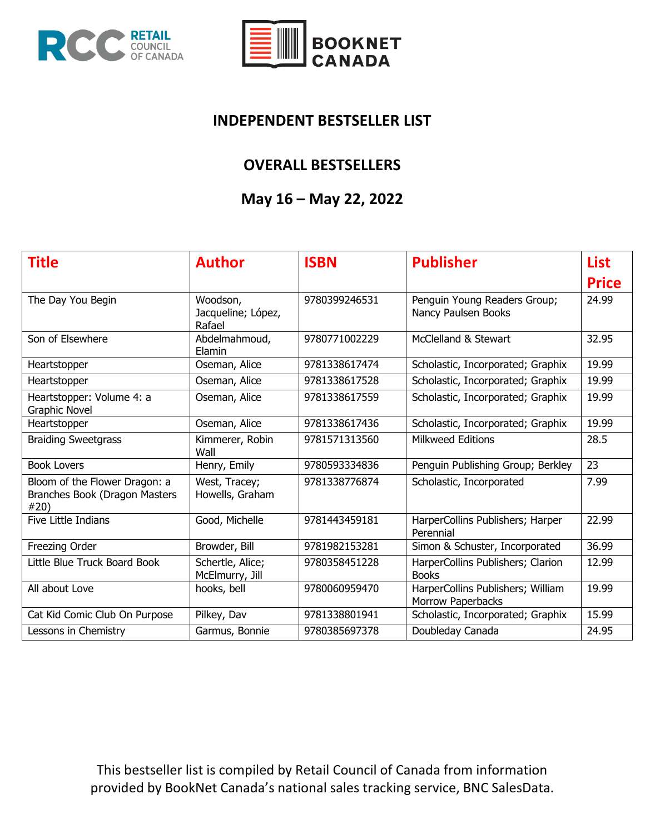



#### **INDEPENDENT BESTSELLER LIST**

#### **OVERALL BESTSELLERS**

#### **May 16 – May 22, 2022**

| <b>Title</b>                                                           | <b>Author</b>                            | <b>ISBN</b>   | <b>Publisher</b>                                       | <b>List</b>  |
|------------------------------------------------------------------------|------------------------------------------|---------------|--------------------------------------------------------|--------------|
|                                                                        |                                          |               |                                                        | <b>Price</b> |
| The Day You Begin                                                      | Woodson,<br>Jacqueline; López,<br>Rafael | 9780399246531 | Penguin Young Readers Group;<br>Nancy Paulsen Books    | 24.99        |
| Son of Elsewhere                                                       | Abdelmahmoud,<br>Elamin                  | 9780771002229 | McClelland & Stewart                                   | 32.95        |
| Heartstopper                                                           | Oseman, Alice                            | 9781338617474 | Scholastic, Incorporated; Graphix                      | 19.99        |
| Heartstopper                                                           | Oseman, Alice                            | 9781338617528 | Scholastic, Incorporated; Graphix                      | 19.99        |
| Heartstopper: Volume 4: a<br><b>Graphic Novel</b>                      | Oseman, Alice                            | 9781338617559 | Scholastic, Incorporated; Graphix                      | 19.99        |
| Heartstopper                                                           | Oseman, Alice                            | 9781338617436 | Scholastic, Incorporated; Graphix                      | 19.99        |
| <b>Braiding Sweetgrass</b>                                             | Kimmerer, Robin<br>Wall                  | 9781571313560 | <b>Milkweed Editions</b>                               | 28.5         |
| <b>Book Lovers</b>                                                     | Henry, Emily                             | 9780593334836 | Penguin Publishing Group; Berkley                      | 23           |
| Bloom of the Flower Dragon: a<br>Branches Book (Dragon Masters<br>#20) | West, Tracey;<br>Howells, Graham         | 9781338776874 | Scholastic, Incorporated                               | 7.99         |
| Five Little Indians                                                    | Good, Michelle                           | 9781443459181 | HarperCollins Publishers; Harper<br>Perennial          | 22.99        |
| Freezing Order                                                         | Browder, Bill                            | 9781982153281 | Simon & Schuster, Incorporated                         | 36.99        |
| Little Blue Truck Board Book                                           | Schertle, Alice;<br>McElmurry, Jill      | 9780358451228 | HarperCollins Publishers; Clarion<br><b>Books</b>      | 12.99        |
| All about Love                                                         | hooks, bell                              | 9780060959470 | HarperCollins Publishers; William<br>Morrow Paperbacks | 19.99        |
| Cat Kid Comic Club On Purpose                                          | Pilkey, Dav                              | 9781338801941 | Scholastic, Incorporated; Graphix                      | 15.99        |
| Lessons in Chemistry                                                   | Garmus, Bonnie                           | 9780385697378 | Doubleday Canada                                       | 24.95        |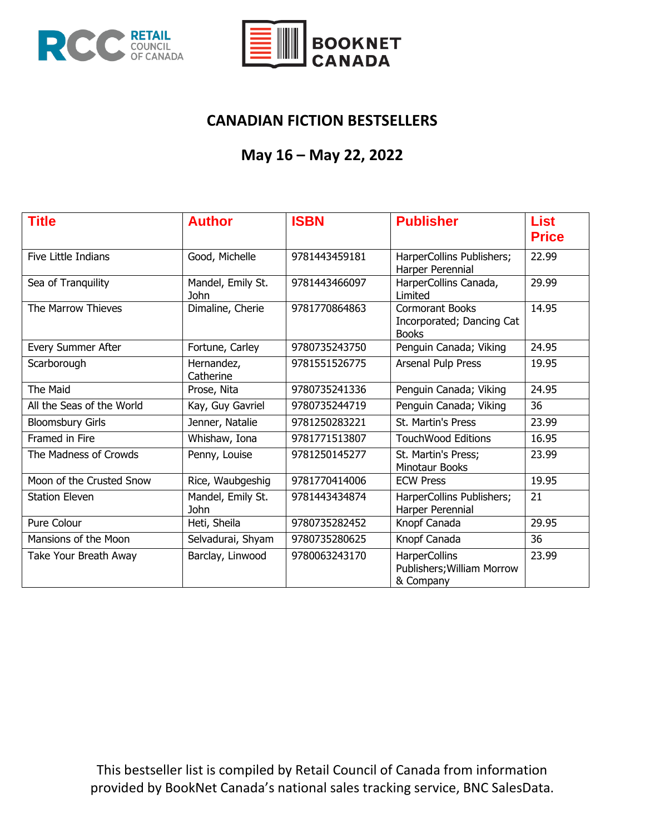



### **CANADIAN FICTION BESTSELLERS**

# **May 16 – May 22, 2022**

| <b>Title</b>              | <b>Author</b>             | <b>ISBN</b>   | <b>Publisher</b>                                                    | <b>List</b><br><b>Price</b> |
|---------------------------|---------------------------|---------------|---------------------------------------------------------------------|-----------------------------|
| Five Little Indians       | Good, Michelle            | 9781443459181 | HarperCollins Publishers;<br>Harper Perennial                       | 22.99                       |
| Sea of Tranquility        | Mandel, Emily St.<br>John | 9781443466097 | HarperCollins Canada,<br>Limited                                    | 29.99                       |
| The Marrow Thieves        | Dimaline, Cherie          | 9781770864863 | <b>Cormorant Books</b><br>Incorporated; Dancing Cat<br><b>Books</b> | 14.95                       |
| Every Summer After        | Fortune, Carley           | 9780735243750 | Penguin Canada; Viking                                              | 24.95                       |
| Scarborough               | Hernandez,<br>Catherine   | 9781551526775 | <b>Arsenal Pulp Press</b>                                           | 19.95                       |
| The Maid                  | Prose, Nita               | 9780735241336 | Penguin Canada; Viking                                              | 24.95                       |
| All the Seas of the World | Kay, Guy Gavriel          | 9780735244719 | Penguin Canada; Viking                                              | 36                          |
| <b>Bloomsbury Girls</b>   | Jenner, Natalie           | 9781250283221 | St. Martin's Press                                                  | 23.99                       |
| Framed in Fire            | Whishaw, Iona             | 9781771513807 | <b>TouchWood Editions</b>                                           | 16.95                       |
| The Madness of Crowds     | Penny, Louise             | 9781250145277 | St. Martin's Press;<br><b>Minotaur Books</b>                        | 23.99                       |
| Moon of the Crusted Snow  | Rice, Waubgeshig          | 9781770414006 | <b>ECW Press</b>                                                    | 19.95                       |
| <b>Station Eleven</b>     | Mandel, Emily St.<br>John | 9781443434874 | HarperCollins Publishers;<br>Harper Perennial                       | 21                          |
| Pure Colour               | Heti, Sheila              | 9780735282452 | Knopf Canada                                                        | 29.95                       |
| Mansions of the Moon      | Selvadurai, Shyam         | 9780735280625 | Knopf Canada                                                        | 36                          |
| Take Your Breath Away     | Barclay, Linwood          | 9780063243170 | <b>HarperCollins</b><br>Publishers; William Morrow<br>& Company     | 23.99                       |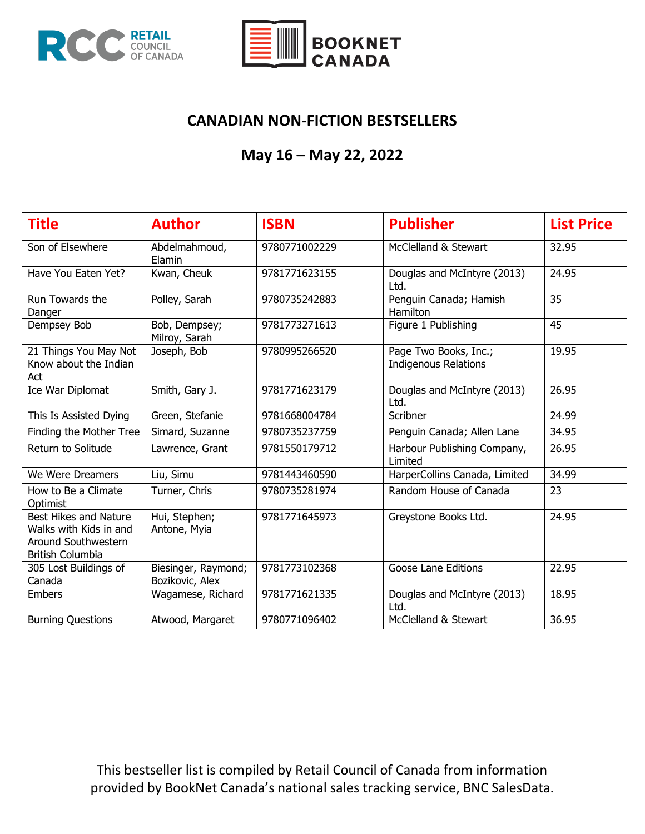



### **CANADIAN NON-FICTION BESTSELLERS**

## **May 16 – May 22, 2022**

| <b>Title</b>                                                                                             | <b>Author</b>                          | <b>ISBN</b>   | <b>Publisher</b>                                     | <b>List Price</b> |
|----------------------------------------------------------------------------------------------------------|----------------------------------------|---------------|------------------------------------------------------|-------------------|
| Son of Elsewhere                                                                                         | Abdelmahmoud,<br>Elamin                | 9780771002229 | McClelland & Stewart                                 | 32.95             |
| Have You Eaten Yet?                                                                                      | Kwan, Cheuk                            | 9781771623155 | Douglas and McIntyre (2013)<br>Ltd.                  | 24.95             |
| Run Towards the<br>Danger                                                                                | Polley, Sarah                          | 9780735242883 | Penguin Canada; Hamish<br>Hamilton                   | $\overline{35}$   |
| Dempsey Bob                                                                                              | Bob, Dempsey;<br>Milroy, Sarah         | 9781773271613 | Figure 1 Publishing                                  | 45                |
| 21 Things You May Not<br>Know about the Indian<br>Act                                                    | Joseph, Bob                            | 9780995266520 | Page Two Books, Inc.;<br><b>Indigenous Relations</b> | 19.95             |
| Ice War Diplomat                                                                                         | Smith, Gary J.                         | 9781771623179 | Douglas and McIntyre (2013)<br>Ltd.                  | 26.95             |
| This Is Assisted Dying                                                                                   | Green, Stefanie                        | 9781668004784 | Scribner                                             | 24.99             |
| Finding the Mother Tree                                                                                  | Simard, Suzanne                        | 9780735237759 | Penguin Canada; Allen Lane                           | 34.95             |
| Return to Solitude                                                                                       | Lawrence, Grant                        | 9781550179712 | Harbour Publishing Company,<br>Limited               | 26.95             |
| We Were Dreamers                                                                                         | Liu, Simu                              | 9781443460590 | HarperCollins Canada, Limited                        | 34.99             |
| How to Be a Climate<br>Optimist                                                                          | Turner, Chris                          | 9780735281974 | Random House of Canada                               | 23                |
| <b>Best Hikes and Nature</b><br>Walks with Kids in and<br>Around Southwestern<br><b>British Columbia</b> | Hui, Stephen;<br>Antone, Myia          | 9781771645973 | Greystone Books Ltd.                                 | 24.95             |
| 305 Lost Buildings of<br>Canada                                                                          | Biesinger, Raymond;<br>Bozikovic, Alex | 9781773102368 | Goose Lane Editions                                  | 22.95             |
| <b>Embers</b>                                                                                            | Wagamese, Richard                      | 9781771621335 | Douglas and McIntyre (2013)<br>Ltd.                  | 18.95             |
| <b>Burning Questions</b>                                                                                 | Atwood, Margaret                       | 9780771096402 | McClelland & Stewart                                 | 36.95             |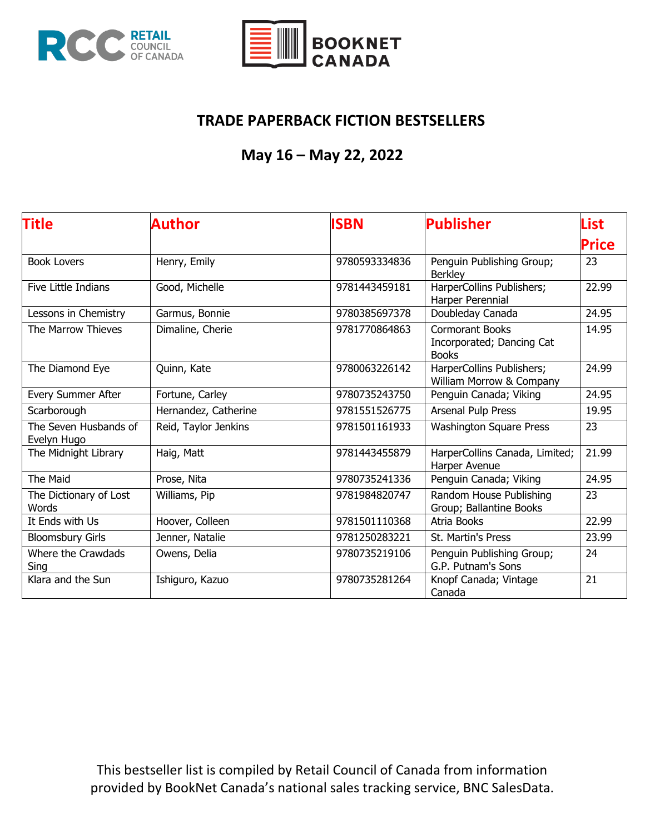



### **TRADE PAPERBACK FICTION BESTSELLERS**

# **May 16 – May 22, 2022**

| <b>Title</b>                         | Author               | <b>ISBN</b>   | <b>Publisher</b>                                                    | List         |
|--------------------------------------|----------------------|---------------|---------------------------------------------------------------------|--------------|
|                                      |                      |               |                                                                     | <b>Price</b> |
| <b>Book Lovers</b>                   | Henry, Emily         | 9780593334836 | Penguin Publishing Group;<br><b>Berkley</b>                         | 23           |
| Five Little Indians                  | Good, Michelle       | 9781443459181 | HarperCollins Publishers;<br>Harper Perennial                       | 22.99        |
| Lessons in Chemistry                 | Garmus, Bonnie       | 9780385697378 | Doubleday Canada                                                    | 24.95        |
| The Marrow Thieves                   | Dimaline, Cherie     | 9781770864863 | <b>Cormorant Books</b><br>Incorporated; Dancing Cat<br><b>Books</b> | 14.95        |
| The Diamond Eye                      | Quinn, Kate          | 9780063226142 | HarperCollins Publishers;<br>William Morrow & Company               | 24.99        |
| Every Summer After                   | Fortune, Carley      | 9780735243750 | Penguin Canada; Viking                                              | 24.95        |
| Scarborough                          | Hernandez, Catherine | 9781551526775 | Arsenal Pulp Press                                                  | 19.95        |
| The Seven Husbands of<br>Evelyn Hugo | Reid, Taylor Jenkins | 9781501161933 | <b>Washington Square Press</b>                                      | 23           |
| The Midnight Library                 | Haig, Matt           | 9781443455879 | HarperCollins Canada, Limited;<br>Harper Avenue                     | 21.99        |
| The Maid                             | Prose, Nita          | 9780735241336 | Penguin Canada; Viking                                              | 24.95        |
| The Dictionary of Lost<br>Words      | Williams, Pip        | 9781984820747 | Random House Publishing<br>Group; Ballantine Books                  | 23           |
| It Ends with Us                      | Hoover, Colleen      | 9781501110368 | Atria Books                                                         | 22.99        |
| <b>Bloomsbury Girls</b>              | Jenner, Natalie      | 9781250283221 | St. Martin's Press                                                  | 23.99        |
| Where the Crawdads<br>Sing           | Owens, Delia         | 9780735219106 | Penguin Publishing Group;<br>G.P. Putnam's Sons                     | 24           |
| Klara and the Sun                    | Ishiguro, Kazuo      | 9780735281264 | Knopf Canada; Vintage<br>Canada                                     | 21           |